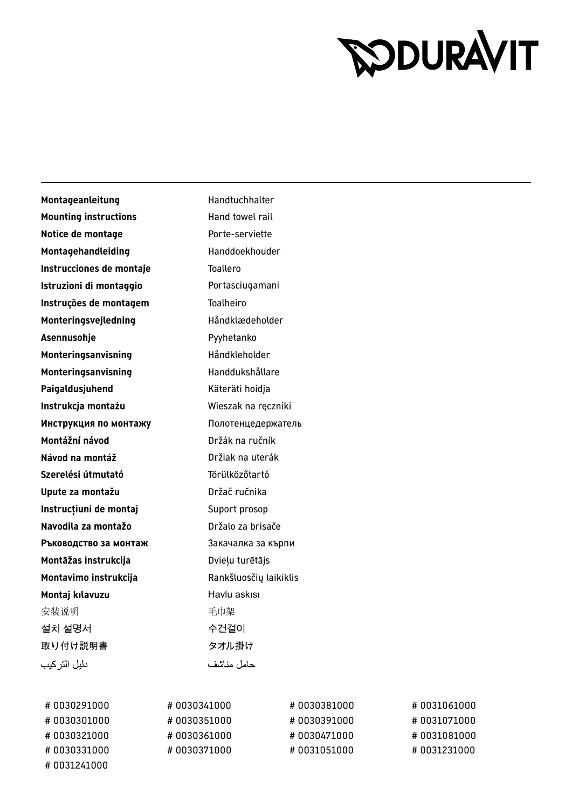## **SODURAVIT**

Montageanleitung **Handtuchhalter Mounting instructions** Hand towel rail **Notice de montage** Porte-serviette **Montagehandleiding** Handdoekhouder **Instrucciones de montaje** Toallero **Istruzioni di montaggio** Portasciugamani **Instruções de montagem** Toalheiro Monteringsvejledning Håndklædeholder Asennusohje **Pyyhetanko Monteringsanvisning** Håndkleholder **Monteringsanvisning** Handdukshållare Paigaldusjuhend **Käteräti** hoidja **Instrukcja montażu** Wieszak na ręczniki **Инструкция по монтажу** Полотенцедержатель **Montážní návod** Držák na ručník **Návod na montáž** Držiak na uterák **Szerelési útmutató** Törülközőtartó **Upute za montažu** Držač ručnika **Instrucțiuni de montaj** Suport prosop **Navodila za montažo britalici za brisače za brisače Ръководство за монтаж** Закачалка за кърпи **Montāžas instrukcija** Dvieļu turētājs **Montavimo instrukcija** Rankšluosčių laikiklis **Montaj kılavuzu Havlu askısı** 安装说明 きょうしゃ こうしゃ 毛巾架 설치 설명서 수건걸이 取り付け説明書 マオル掛け دليل التر كيب حامل مناشف

| #0030291000 | #0030341000 | #0030381000 | #0031061000  |
|-------------|-------------|-------------|--------------|
| #0030301000 | #0030351000 | #0030391000 | #0031071000  |
| #0030321000 | #0030361000 | #0030471000 | # 0031081000 |
| #0030331000 | #0030371000 | #0031051000 | #0031231000  |
| #0031241000 |             |             |              |